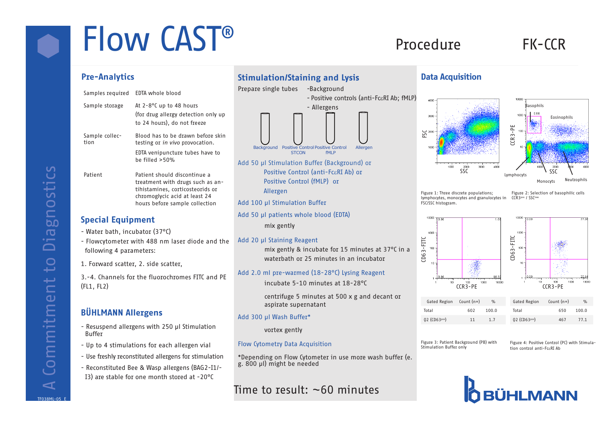# Flow CAST®

### Procedure FK-CCR

### Pre-Analytics

|                                                 | Samples required EDTA whole blood                                                                                                     | rrep |
|-------------------------------------------------|---------------------------------------------------------------------------------------------------------------------------------------|------|
| Sample storage                                  | At 2-8°C up to 48 hours<br>(for drug allergy detection only up<br>to 24 hours), do not freeze                                         |      |
| Sample collec-<br>tion                          | Blood has to be drawn before skin<br>testing or <i>in vivo</i> provocation.                                                           |      |
|                                                 | EDTA venipuncture tubes have to<br>be filled $>50\%$                                                                                  | Add  |
| Patient                                         | Patient should discontinue a<br>treatment with drugs such as an-<br>tihistamines, corticosteorids or<br>chromoglycic acid at least 24 |      |
|                                                 | hours before sample collection                                                                                                        | Add  |
| <b>Special Equipment</b>                        |                                                                                                                                       |      |
| - Water bath, incubator (37°C)                  |                                                                                                                                       |      |
| - Flowcytometer with 488 nm laser diode and the |                                                                                                                                       |      |

- following 4 parameters:
- 1. Forward scatter, 2. side scatter,

3.-4. Channels for the fluorochromes FITC and PE (FL1, FL2)

### BÜHLMANN Allergens

- Resuspend allergens with 250 µl Stimulation Buffer
- Up to 4 stimulations for each allergen vial
- Use freshly reconstituted allergens for stimulation
- Reconstituted Bee & Wasp allergens (BAG2-I1/- I3) are stable for one month stored at -20°C

### Stimulation/Staining and Lysis

are single tubes -Background



- 50 ul Stimulation Buffer (Background) or Positive Control (anti-Fc $\epsilon$ RI Ab) or Positive Control (fMLP) or Allergen
- 100 µl Stimulation Buffer
- 50 µl patients whole blood (EDTA) mix gently
- 20 µl Staining Reagent

mix gently & incubate for 15 minutes at 37°C in a waterbath or 25 minutes in an incubator

Add 2.0 ml pre-warmed (18-28°C) Lysing Reagent

incubate 5-10 minutes at 18-28°C

centrifuge 5 minutes at 500 x g and decant or aspirate supernatant

### Add 300 µl Wash Buffer\*

vortex gently

### Flow Cytometry Data Acquisition

\*Depending on Flow Cytometer in use more wash buffer (e. g. 800 µl) might be needed

### Time to result: ~60 minutes

### Data Acquisition



Figure 1: Three discrete populations; lymphocytes, monocytes and granulocytes in FSC/SSC histogram.

Figure 2: Selection of basophilic cells CCR3pos / SSClo



Figure 3: Patient Background (PB) with Stimulation Buffer only

Figure 4: Positive Control (PC) with Stimulation control anti-FceRI Ab



 $\bullet$ 

TF038ML-05 E